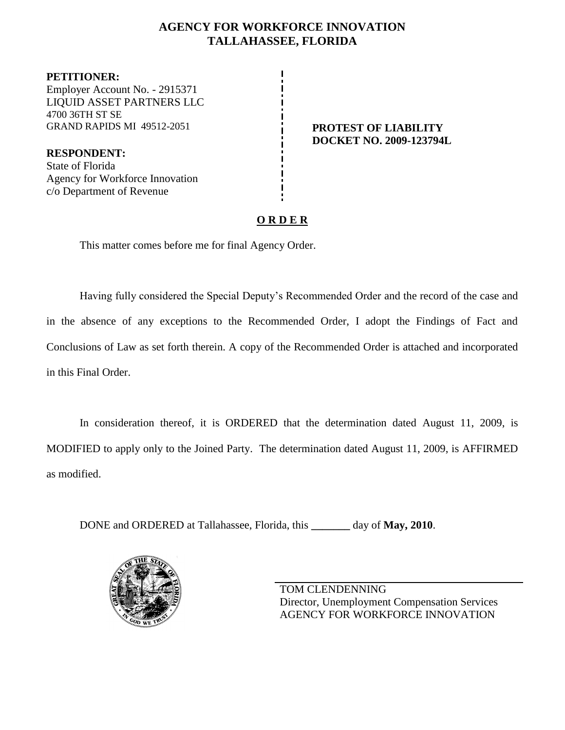## **AGENCY FOR WORKFORCE INNOVATION TALLAHASSEE, FLORIDA**

**PETITIONER:** Employer Account No. - 2915371 LIQUID ASSET PARTNERS LLC 4700 36TH ST SE GRAND RAPIDS MI 49512-2051 **PROTEST OF LIABILITY**

**RESPONDENT:** State of Florida Agency for Workforce Innovation c/o Department of Revenue

# **DOCKET NO. 2009-123794L**

# **O R D E R**

This matter comes before me for final Agency Order.

Having fully considered the Special Deputy's Recommended Order and the record of the case and in the absence of any exceptions to the Recommended Order, I adopt the Findings of Fact and Conclusions of Law as set forth therein. A copy of the Recommended Order is attached and incorporated in this Final Order.

In consideration thereof, it is ORDERED that the determination dated August 11, 2009, is MODIFIED to apply only to the Joined Party. The determination dated August 11, 2009, is AFFIRMED as modified.

DONE and ORDERED at Tallahassee, Florida, this **\_\_\_\_\_\_\_** day of **May, 2010**.



TOM CLENDENNING Director, Unemployment Compensation Services AGENCY FOR WORKFORCE INNOVATION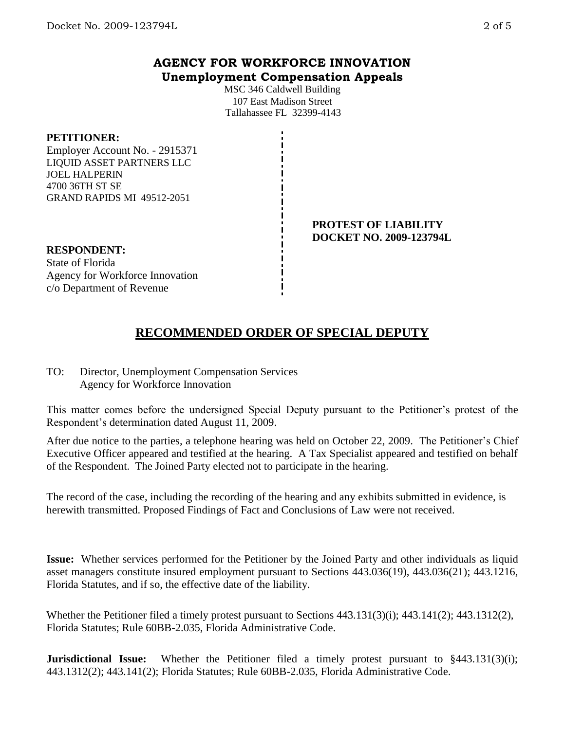### **AGENCY FOR WORKFORCE INNOVATION Unemployment Compensation Appeals**

MSC 346 Caldwell Building 107 East Madison Street Tallahassee FL 32399-4143

#### **PETITIONER:**

Employer Account No. - 2915371 LIQUID ASSET PARTNERS LLC JOEL HALPERIN 4700 36TH ST SE GRAND RAPIDS MI 49512-2051

#### **PROTEST OF LIABILITY DOCKET NO. 2009-123794L**

**RESPONDENT:** State of Florida Agency for Workforce Innovation c/o Department of Revenue

# **RECOMMENDED ORDER OF SPECIAL DEPUTY**

TO: Director, Unemployment Compensation Services Agency for Workforce Innovation

This matter comes before the undersigned Special Deputy pursuant to the Petitioner's protest of the Respondent's determination dated August 11, 2009.

After due notice to the parties, a telephone hearing was held on October 22, 2009. The Petitioner's Chief Executive Officer appeared and testified at the hearing. A Tax Specialist appeared and testified on behalf of the Respondent. The Joined Party elected not to participate in the hearing.

The record of the case, including the recording of the hearing and any exhibits submitted in evidence, is herewith transmitted. Proposed Findings of Fact and Conclusions of Law were not received.

**Issue:** Whether services performed for the Petitioner by the Joined Party and other individuals as liquid asset managers constitute insured employment pursuant to Sections 443.036(19), 443.036(21); 443.1216, Florida Statutes, and if so, the effective date of the liability.

Whether the Petitioner filed a timely protest pursuant to Sections 443.131(3)(i); 443.141(2); 443.1312(2), Florida Statutes; Rule 60BB-2.035, Florida Administrative Code.

**Jurisdictional Issue:** Whether the Petitioner filed a timely protest pursuant to §443.131(3)(i); 443.1312(2); 443.141(2); Florida Statutes; Rule 60BB-2.035, Florida Administrative Code.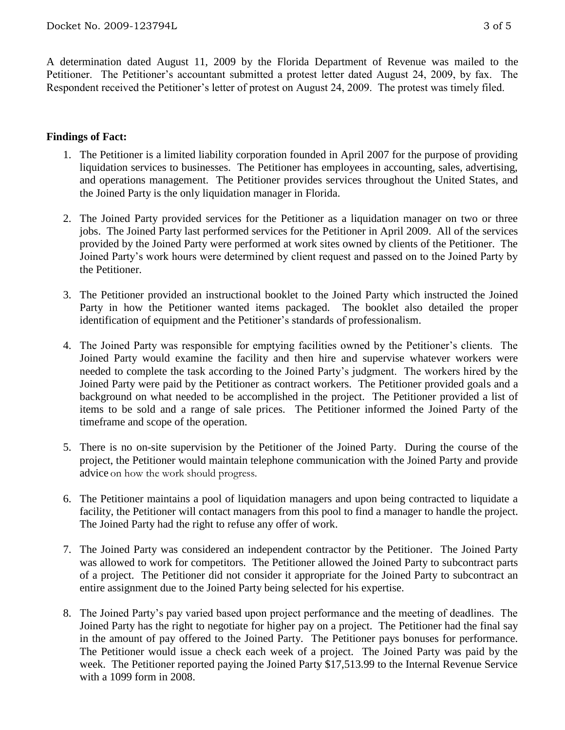A determination dated August 11, 2009 by the Florida Department of Revenue was mailed to the Petitioner. The Petitioner's accountant submitted a protest letter dated August 24, 2009, by fax. The Respondent received the Petitioner's letter of protest on August 24, 2009. The protest was timely filed.

#### **Findings of Fact:**

- 1. The Petitioner is a limited liability corporation founded in April 2007 for the purpose of providing liquidation services to businesses. The Petitioner has employees in accounting, sales, advertising, and operations management. The Petitioner provides services throughout the United States, and the Joined Party is the only liquidation manager in Florida.
- 2. The Joined Party provided services for the Petitioner as a liquidation manager on two or three jobs. The Joined Party last performed services for the Petitioner in April 2009. All of the services provided by the Joined Party were performed at work sites owned by clients of the Petitioner. The Joined Party's work hours were determined by client request and passed on to the Joined Party by the Petitioner.
- 3. The Petitioner provided an instructional booklet to the Joined Party which instructed the Joined Party in how the Petitioner wanted items packaged. The booklet also detailed the proper identification of equipment and the Petitioner's standards of professionalism.
- 4. The Joined Party was responsible for emptying facilities owned by the Petitioner's clients. The Joined Party would examine the facility and then hire and supervise whatever workers were needed to complete the task according to the Joined Party's judgment. The workers hired by the Joined Party were paid by the Petitioner as contract workers. The Petitioner provided goals and a background on what needed to be accomplished in the project. The Petitioner provided a list of items to be sold and a range of sale prices. The Petitioner informed the Joined Party of the timeframe and scope of the operation.
- 5. There is no on-site supervision by the Petitioner of the Joined Party. During the course of the project, the Petitioner would maintain telephone communication with the Joined Party and provide advice on how the work should progress.
- 6. The Petitioner maintains a pool of liquidation managers and upon being contracted to liquidate a facility, the Petitioner will contact managers from this pool to find a manager to handle the project. The Joined Party had the right to refuse any offer of work.
- 7. The Joined Party was considered an independent contractor by the Petitioner. The Joined Party was allowed to work for competitors. The Petitioner allowed the Joined Party to subcontract parts of a project. The Petitioner did not consider it appropriate for the Joined Party to subcontract an entire assignment due to the Joined Party being selected for his expertise.
- 8. The Joined Party's pay varied based upon project performance and the meeting of deadlines. The Joined Party has the right to negotiate for higher pay on a project. The Petitioner had the final say in the amount of pay offered to the Joined Party. The Petitioner pays bonuses for performance. The Petitioner would issue a check each week of a project. The Joined Party was paid by the week. The Petitioner reported paying the Joined Party \$17,513.99 to the Internal Revenue Service with a 1099 form in 2008.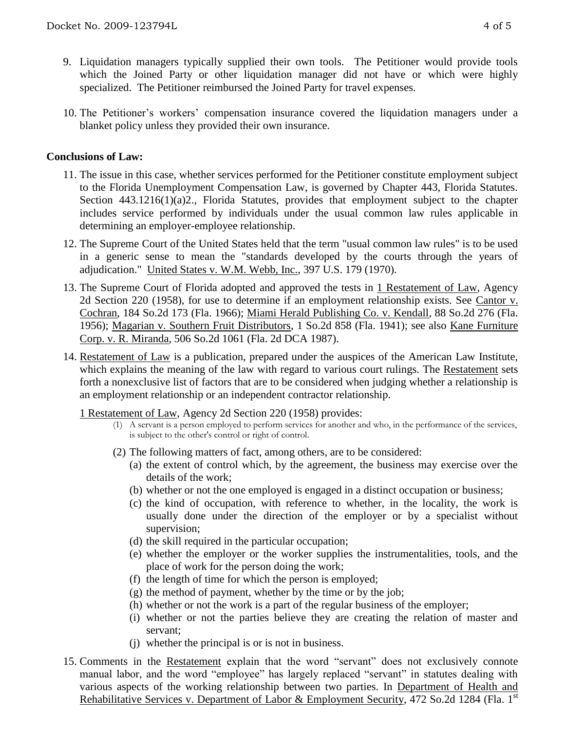- 9. Liquidation managers typically supplied their own tools. The Petitioner would provide tools which the Joined Party or other liquidation manager did not have or which were highly specialized. The Petitioner reimbursed the Joined Party for travel expenses.
- 10. The Petitioner's workers' compensation insurance covered the liquidation managers under a blanket policy unless they provided their own insurance.

#### **Conclusions of Law:**

- 11. The issue in this case, whether services performed for the Petitioner constitute employment subject to the Florida Unemployment Compensation Law, is governed by Chapter 443, Florida Statutes. Section 443.1216(1)(a)2., Florida Statutes, provides that employment subject to the chapter includes service performed by individuals under the usual common law rules applicable in determining an employer-employee relationship.
- 12. The Supreme Court of the United States held that the term "usual common law rules" is to be used in a generic sense to mean the "standards developed by the courts through the years of adjudication." United States v. W.M. Webb, Inc., 397 U.S. 179 (1970).
- 13. The Supreme Court of Florida adopted and approved the tests in 1 Restatement of Law, Agency 2d Section 220 (1958), for use to determine if an employment relationship exists. See Cantor v. Cochran, 184 So.2d 173 (Fla. 1966); Miami Herald Publishing Co. v. Kendall, 88 So.2d 276 (Fla. 1956); Magarian v. Southern Fruit Distributors, 1 So.2d 858 (Fla. 1941); see also Kane Furniture Corp. v. R. Miranda, 506 So.2d 1061 (Fla. 2d DCA 1987).
- 14. Restatement of Law is a publication, prepared under the auspices of the American Law Institute, which explains the meaning of the law with regard to various court rulings. The Restatement sets forth a nonexclusive list of factors that are to be considered when judging whether a relationship is an employment relationship or an independent contractor relationship.
	- 1 Restatement of Law, Agency 2d Section 220 (1958) provides:
		- (1) A servant is a person employed to perform services for another and who, in the performance of the services, is subject to the other's control or right of control.
		- (2) The following matters of fact, among others, are to be considered:
			- (a) the extent of control which, by the agreement, the business may exercise over the details of the work;
			- (b) whether or not the one employed is engaged in a distinct occupation or business;
			- (c) the kind of occupation, with reference to whether, in the locality, the work is usually done under the direction of the employer or by a specialist without supervision;
			- (d) the skill required in the particular occupation;
			- (e) whether the employer or the worker supplies the instrumentalities, tools, and the place of work for the person doing the work;
			- (f) the length of time for which the person is employed;
			- (g) the method of payment, whether by the time or by the job;
			- (h) whether or not the work is a part of the regular business of the employer;
			- (i) whether or not the parties believe they are creating the relation of master and servant;
			- (j) whether the principal is or is not in business.
- 15. Comments in the Restatement explain that the word "servant" does not exclusively connote manual labor, and the word "employee" has largely replaced "servant" in statutes dealing with various aspects of the working relationship between two parties. In Department of Health and Rehabilitative Services v. Department of Labor & Employment Security, 472 So.2d 1284 (Fla. 1<sup>st</sup>